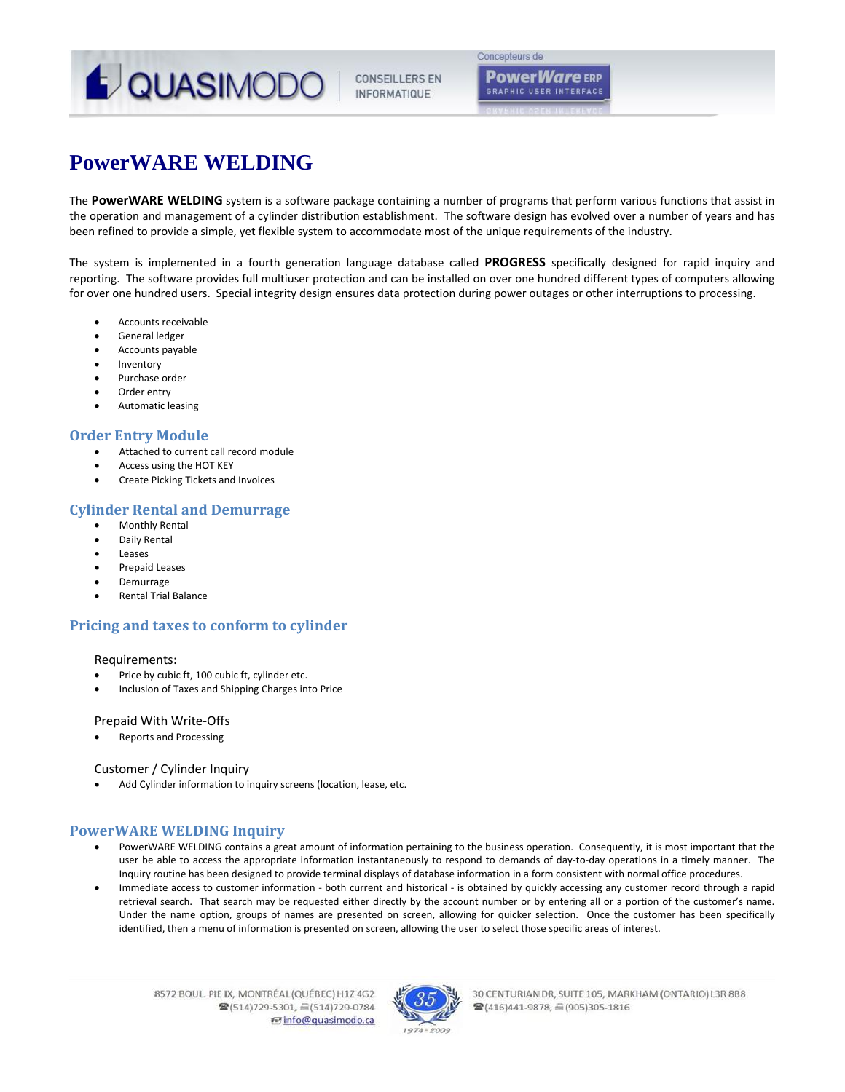

**CONSEILLERS EN INFORMATIQUE** 

Concepteurs de **PowerWare** ERP **GRAPHIC USER INTERFACE** 

# **PowerWARE WELDING**

The **PowerWARE WELDING** system is a software package containing a number of programs that perform various functions that assist in the operation and management of a cylinder distribution establishment. The software design has evolved over a number of years and has been refined to provide a simple, yet flexible system to accommodate most of the unique requirements of the industry.

The system is implemented in a fourth generation language database called **PROGRESS** specifically designed for rapid inquiry and reporting. The software provides full multiuser protection and can be installed on over one hundred different types of computers allowing for over one hundred users. Special integrity design ensures data protection during power outages or other interruptions to processing.

- Accounts receivable
- General ledger
- Accounts payable
- Inventory
- Purchase order
- Order entry
- Automatic leasing

### **Order Entry Module**

- Attached to current call record module
- Access using the HOT KEY
- Create Picking Tickets and Invoices

## **Cylinder Rental and Demurrage**

- Monthly Rental
- Daily Rental
- Leases
- Prepaid Leases
- Demurrage
- Rental Trial Balance

# **Pricing and taxes to conform to cylinder**

#### Requirements:

- Price by cubic ft, 100 cubic ft, cylinder etc.
- Inclusion of Taxes and Shipping Charges into Price

#### Prepaid With Write‐Offs

Reports and Processing

#### Customer / Cylinder Inquiry

Add Cylinder information to inquiry screens (location, lease, etc.

# **PowerWARE WELDING Inquiry**

- PowerWARE WELDING contains a great amount of information pertaining to the business operation. Consequently, it is most important that the user be able to access the appropriate information instantaneously to respond to demands of day-to-day operations in a timely manner. The Inquiry routine has been designed to provide terminal displays of database information in a form consistent with normal office procedures.
- Immediate access to customer information ‐ both current and historical ‐ is obtained by quickly accessing any customer record through a rapid retrieval search. That search may be requested either directly by the account number or by entering all or a portion of the customer's name. Under the name option, groups of names are presented on screen, allowing for quicker selection. Once the customer has been specifically identified, then a menu of information is presented on screen, allowing the user to select those specific areas of interest.



30 CENTURIAN DR, SUITE 105, MARKHAM (ONTARIO) L3R 8B8 ■(416)441-9878, 2(905)305-1816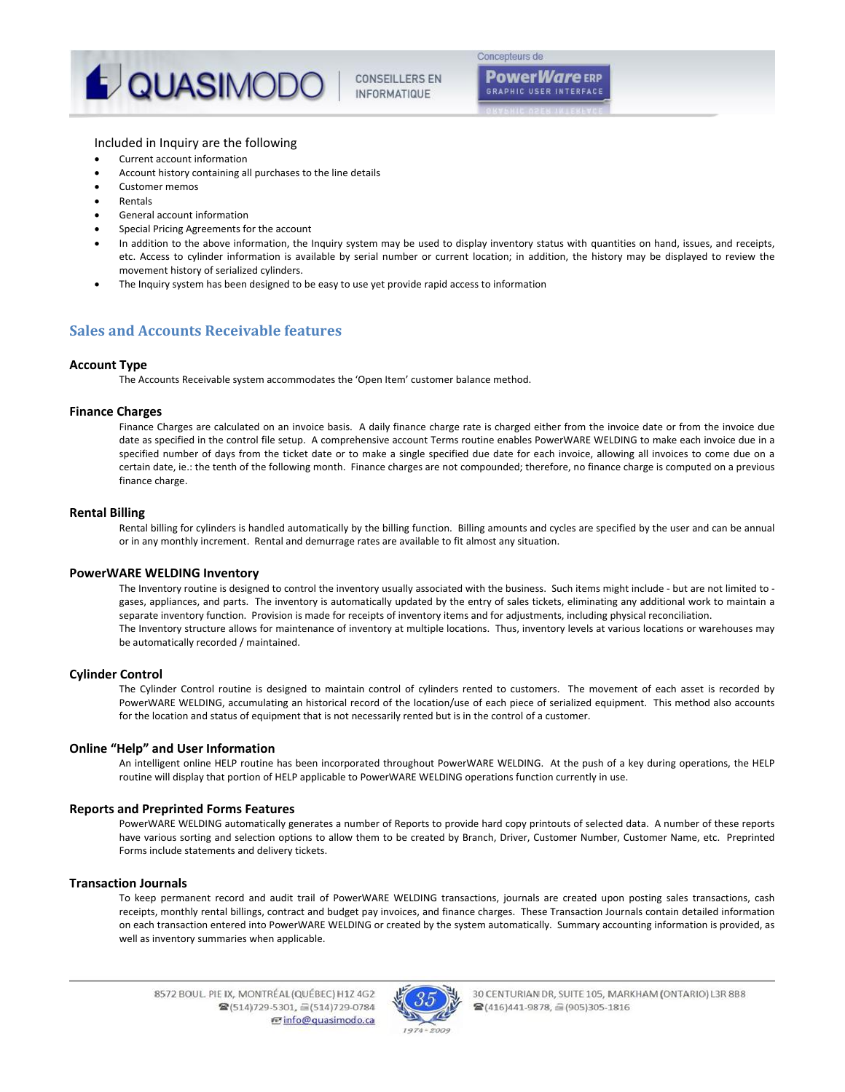

**PowerWare** ERP **GRAPHIC USER INTERFACE** 

#### Included in Inquiry are the following

- Current account information
- Account history containing all purchases to the line details
- Customer memos
- Rentals
- General account information
- Special Pricing Agreements for the account
- In addition to the above information, the Inquiry system may be used to display inventory status with quantities on hand, issues, and receipts, etc. Access to cylinder information is available by serial number or current location; in addition, the history may be displayed to review the movement history of serialized cylinders.
- The Inquiry system has been designed to be easy to use yet provide rapid access to information

## **Sales and Accounts Receivable features**

#### **Account Type**

The Accounts Receivable system accommodates the 'Open Item' customer balance method.

#### **Finance Charges**

Finance Charges are calculated on an invoice basis. A daily finance charge rate is charged either from the invoice date or from the invoice due date as specified in the control file setup. A comprehensive account Terms routine enables PowerWARE WELDING to make each invoice due in a specified number of days from the ticket date or to make a single specified due date for each invoice, allowing all invoices to come due on a certain date, ie.: the tenth of the following month. Finance charges are not compounded; therefore, no finance charge is computed on a previous finance charge.

#### **Rental Billing**

Rental billing for cylinders is handled automatically by the billing function. Billing amounts and cycles are specified by the user and can be annual or in any monthly increment. Rental and demurrage rates are available to fit almost any situation.

#### **PowerWARE WELDING Inventory**

The Inventory routine is designed to control the inventory usually associated with the business. Such items might include - but are not limited to gases, appliances, and parts. The inventory is automatically updated by the entry of sales tickets, eliminating any additional work to maintain a separate inventory function. Provision is made for receipts of inventory items and for adjustments, including physical reconciliation. The Inventory structure allows for maintenance of inventory at multiple locations. Thus, inventory levels at various locations or warehouses may be automatically recorded / maintained.

#### **Cylinder Control**

The Cylinder Control routine is designed to maintain control of cylinders rented to customers. The movement of each asset is recorded by PowerWARE WELDING, accumulating an historical record of the location/use of each piece of serialized equipment. This method also accounts for the location and status of equipment that is not necessarily rented but is in the control of a customer.

#### **Online "Help" and User Information**

An intelligent online HELP routine has been incorporated throughout PowerWARE WELDING. At the push of a key during operations, the HELP routine will display that portion of HELP applicable to PowerWARE WELDING operations function currently in use.

#### **Reports and Preprinted Forms Features**

PowerWARE WELDING automatically generates a number of Reports to provide hard copy printouts of selected data. A number of these reports have various sorting and selection options to allow them to be created by Branch, Driver, Customer Number, Customer Name, etc. Preprinted Forms include statements and delivery tickets.

#### **Transaction Journals**

To keep permanent record and audit trail of PowerWARE WELDING transactions, journals are created upon posting sales transactions, cash receipts, monthly rental billings, contract and budget pay invoices, and finance charges. These Transaction Journals contain detailed information on each transaction entered into PowerWARE WELDING or created by the system automatically. Summary accounting information is provided, as well as inventory summaries when applicable.



30 CENTURIAN DR, SUITE 105, MARKHAM (ONTARIO) L3R 8B8 ■(416)441-9878, 2(905)305-1816